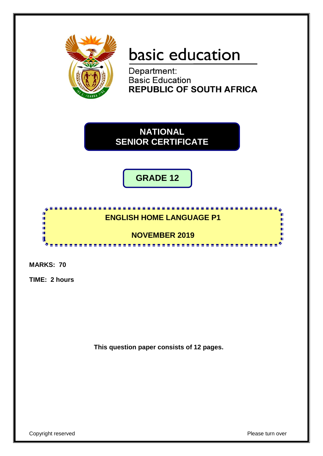

# basic education

Department: **Basic Education REPUBLIC OF SOUTH AFRICA** 

**NATIONAL SENIOR CERTIFICATE**

**GRADE 12**

## **ENGLISH HOME LANGUAGE P1**

<u>. . . . . . . . . . .</u>

**NOVEMBER 2019** <u>. . . . . . . . . . . . . . .</u>

**MARKS: 70**

情報

ú, U

**TIME: 2 hours**

**This question paper consists of 12 pages.**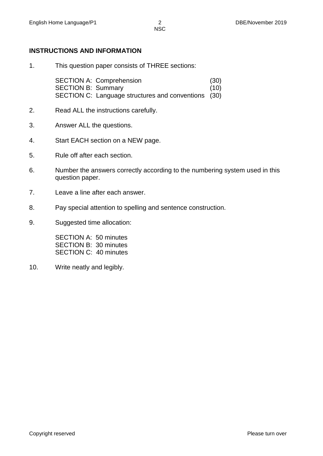#### **INSTRUCTIONS AND INFORMATION**

1. This question paper consists of THREE sections:

SECTION A: Comprehension (30) SECTION B: Summary (10) SECTION C: Language structures and conventions (30)

- 2. Read ALL the instructions carefully.
- 3. Answer ALL the questions.
- 4. Start EACH section on a NEW page.
- 5. Rule off after each section.
- 6. Number the answers correctly according to the numbering system used in this question paper.
- 7. Leave a line after each answer.
- 8. Pay special attention to spelling and sentence construction.
- 9. Suggested time allocation:

SECTION A: 50 minutes SECTION B: 30 minutes SECTION C: 40 minutes

10. Write neatly and legibly.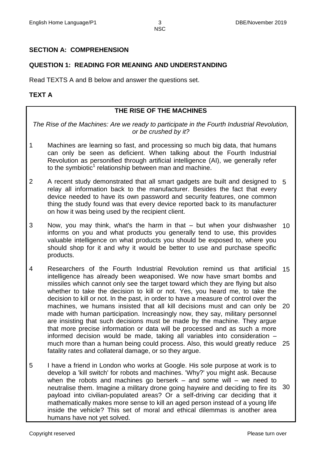#### **SECTION A: COMPREHENSION**

#### **QUESTION 1: READING FOR MEANING AND UNDERSTANDING**

Read TEXTS A and B below and answer the questions set.

#### **TEXT A**

#### **THE RISE OF THE MACHINES**

*The Rise of the Machines: Are we ready to participate in the Fourth Industrial Revolution, or be crushed by it?*

- 1 Machines are learning so fast, and processing so much big data, that humans can only be seen as deficient. When talking about the Fourth Industrial Revolution as personified through artificial intelligence (AI), we generally refer to the symbiotic<sup>1</sup> relationship between man and machine.
- 2 A recent study demonstrated that all smart gadgets are built and designed to 5 relay all information back to the manufacturer. Besides the fact that every device needed to have its own password and security features, one common thing the study found was that every device reported back to its manufacturer on how it was being used by the recipient client.
- 3 Now, you may think, what's the harm in that – but when your dishwasher 10 informs on you and what products you generally tend to use, this provides valuable intelligence on what products you should be exposed to, where you should shop for it and why it would be better to use and purchase specific products.
- 4 Researchers of the Fourth Industrial Revolution remind us that artificial 15 intelligence has already been weaponised. We now have smart bombs and missiles which cannot only see the target toward which they are flying but also whether to take the decision to kill or not. Yes, you heard me, to take the decision to kill or not. In the past, in order to have a measure of control over the machines, we humans insisted that all kill decisions must and can only be 20 made with human participation. Increasingly now, they say, military personnel are insisting that such decisions must be made by the machine. They argue that more precise information or data will be processed and as such a more informed decision would be made, taking all variables into consideration – much more than a human being could process. Also, this would greatly reduce 25 fatality rates and collateral damage, or so they argue.
- 5 I have a friend in London who works at Google. His sole purpose at work is to develop a 'kill switch' for robots and machines. 'Why?' you might ask. Because when the robots and machines go berserk  $-$  and some will  $-$  we need to neutralise them. Imagine a military drone going haywire and deciding to fire its payload into civilian-populated areas? Or a self-driving car deciding that it mathematically makes more sense to kill an aged person instead of a young life inside the vehicle? This set of moral and ethical dilemmas is another area humans have not yet solved. 30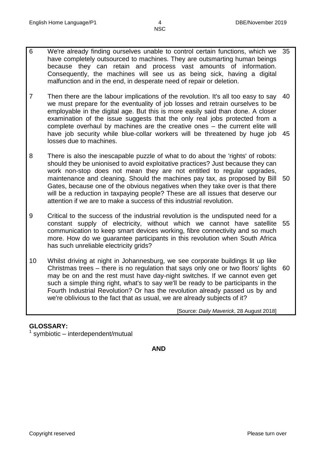6 We're already finding ourselves unable to control certain functions, which we have completely outsourced to machines. They are outsmarting human beings because they can retain and process vast amounts of information. Consequently, the machines will see us as being sick, having a digital malfunction and in the end, in desperate need of repair or deletion. 35

**NSC** 

- 7 Then there are the labour implications of the revolution. It's all too easy to say we must prepare for the eventuality of job losses and retrain ourselves to be employable in the digital age. But this is more easily said than done. A closer examination of the issue suggests that the only real jobs protected from a complete overhaul by machines are the creative ones – the current elite will have job security while blue-collar workers will be threatened by huge job 45 losses due to machines. 40
- 8 There is also the inescapable puzzle of what to do about the 'rights' of robots: should they be unionised to avoid exploitative practices? Just because they can work non-stop does not mean they are not entitled to regular upgrades, maintenance and cleaning. Should the machines pay tax, as proposed by Bill 50 Gates, because one of the obvious negatives when they take over is that there will be a reduction in taxpaying people? These are all issues that deserve our attention if we are to make a success of this industrial revolution.
- 9 Critical to the success of the industrial revolution is the undisputed need for a constant supply of electricity, without which we cannot have satellite 55 communication to keep smart devices working, fibre connectivity and so much more. How do we guarantee participants in this revolution when South Africa has such unreliable electricity grids?
- 10 Whilst driving at night in Johannesburg, we see corporate buildings lit up like Christmas trees – there is no regulation that says only one or two floors' lights 60 may be on and the rest must have day-night switches. If we cannot even get such a simple thing right, what's to say we'll be ready to be participants in the Fourth Industrial Revolution? Or has the revolution already passed us by and we're oblivious to the fact that as usual, we are already subjects of it?

[Source: *Daily Maverick*, 28 August 2018]

#### **GLOSSARY:**

1 symbiotic – interdependent/mutual

**AND**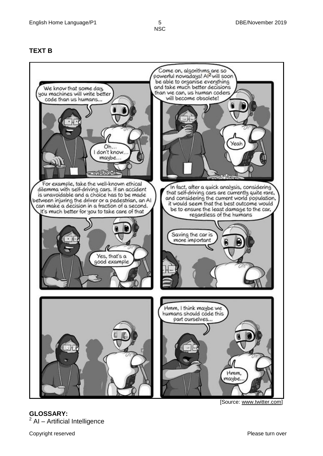#### **TEXT B**



**GLOSSARY:**  $2$  AI – Artificial Intelligence

Copyright reserved **Please turn over the Copyright reserved** Please turn over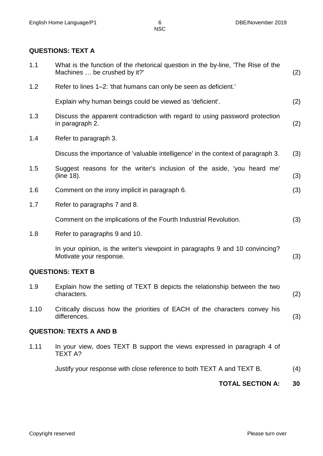#### **QUESTIONS: TEXT A**

|      | <b>TOTAL SECTION A:</b>                                                                                          | 30  |  |  |  |  |  |
|------|------------------------------------------------------------------------------------------------------------------|-----|--|--|--|--|--|
|      | Justify your response with close reference to both TEXT A and TEXT B.                                            | (4) |  |  |  |  |  |
| 1.11 | In your view, does TEXT B support the views expressed in paragraph 4 of<br>TEXT A?                               |     |  |  |  |  |  |
|      | <b>QUESTION: TEXTS A AND B</b>                                                                                   |     |  |  |  |  |  |
| 1.10 | Critically discuss how the priorities of EACH of the characters convey his<br>differences.                       | (3) |  |  |  |  |  |
| 1.9  | Explain how the setting of TEXT B depicts the relationship between the two<br>characters.                        | (2) |  |  |  |  |  |
|      | <b>QUESTIONS: TEXT B</b>                                                                                         |     |  |  |  |  |  |
|      | In your opinion, is the writer's viewpoint in paragraphs 9 and 10 convincing?<br>Motivate your response.         | (3) |  |  |  |  |  |
| 1.8  | Refer to paragraphs 9 and 10.                                                                                    |     |  |  |  |  |  |
|      | Comment on the implications of the Fourth Industrial Revolution.                                                 | (3) |  |  |  |  |  |
| 1.7  | Refer to paragraphs 7 and 8.                                                                                     |     |  |  |  |  |  |
| 1.6  | Comment on the irony implicit in paragraph 6.                                                                    | (3) |  |  |  |  |  |
| 1.5  | Suggest reasons for the writer's inclusion of the aside, 'you heard me'<br>(line 18).                            | (3) |  |  |  |  |  |
|      | Discuss the importance of 'valuable intelligence' in the context of paragraph 3.                                 | (3) |  |  |  |  |  |
| 1.4  | Refer to paragraph 3.                                                                                            |     |  |  |  |  |  |
| 1.3  | Discuss the apparent contradiction with regard to using password protection<br>in paragraph 2.                   | (2) |  |  |  |  |  |
|      | Explain why human beings could be viewed as 'deficient'.                                                         | (2) |  |  |  |  |  |
| 1.2  | Refer to lines 1–2: 'that humans can only be seen as deficient.'                                                 |     |  |  |  |  |  |
| 1.1  | What is the function of the rhetorical question in the by-line, 'The Rise of the<br>Machines  be crushed by it?' |     |  |  |  |  |  |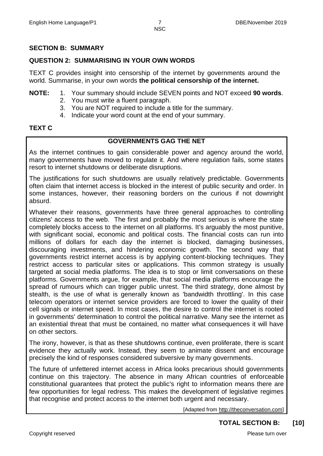#### **SECTION B: SUMMARY**

#### **QUESTION 2: SUMMARISING IN YOUR OWN WORDS**

TEXT C provides insight into censorship of the internet by governments around the world. Summarise, in your own words **the political censorship of the internet.**

- **NOTE:** 1. Your summary should include SEVEN points and NOT exceed **90 words**.
	- 2. You must write a fluent paragraph.
	- 3. You are NOT required to include a title for the summary.
	- 4. Indicate your word count at the end of your summary.

#### **TEXT C**

#### **GOVERNMENTS GAG THE NET**

As the internet continues to gain considerable power and agency around the world, many governments have moved to regulate it. And where regulation fails, some states resort to internet shutdowns or deliberate disruptions.

The justifications for such shutdowns are usually relatively predictable. Governments often claim that internet access is blocked in the interest of public security and order. In some instances, however, their reasoning borders on the curious if not downright absurd.

Whatever their reasons, governments have three general approaches to controlling citizens' access to the web. The first and probably the most serious is where the state completely blocks access to the internet on all platforms. It's arguably the most punitive, with significant social, economic and political costs. The financial costs can run into millions of dollars for each day the internet is blocked, damaging businesses, discouraging investments, and hindering economic growth. The second way that governments restrict internet access is by applying content-blocking techniques. They restrict access to particular sites or applications. This common strategy is usually targeted at social media platforms. The idea is to stop or limit conversations on these platforms. Governments argue, for example, that social media platforms encourage the spread of rumours which can trigger public unrest. The third strategy, done almost by stealth, is the use of what is generally known as 'bandwidth throttling'. In this case telecom operators or internet service providers are forced to lower the quality of their cell signals or internet speed. In most cases, the desire to control the internet is rooted in governments' determination to control the political narrative. Many see the internet as an existential threat that must be contained, no matter what consequences it will have on other sectors.

The irony, however, is that as these shutdowns continue, even proliferate, there is scant evidence they actually work. Instead, they seem to animate dissent and encourage precisely the kind of responses considered subversive by many governments.

The future of unfettered internet access in Africa looks precarious should governments continue on this trajectory. The absence in many African countries of enforceable constitutional guarantees that protect the public's right to information means there are few opportunities for legal redress. This makes the development of legislative regimes that recognise and protect access to the internet both urgent and necessary.

[Adapted from [http://theconversation.com\]](http://theconversation.com/)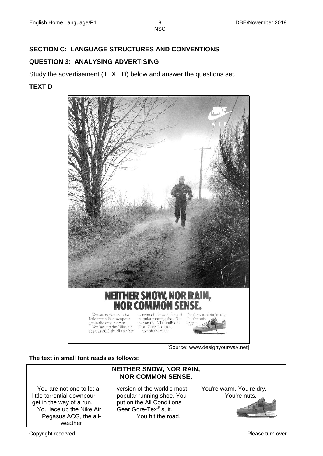### **SECTION C: LANGUAGE STRUCTURES AND CONVENTIONS**

#### **QUESTION 3: ANALYSING ADVERTISING**

Study the advertisement (TEXT D) below and answer the questions set.

#### **TEXT D**



[Source: www.designyourway.net]

**The text in small font reads as follows:**

#### **NEITHER SNOW, NOR RAIN, NOR COMMON SENSE.**

 You are not one to let a little torrential downpour get in the way of a run. You lace up the Nike Air Pegasus ACG, the allweather

version of the world's most popular running shoe. You put on the All Conditions Gear Gore-Tex® suit. You hit the road.

You're warm. You're dry. You're nuts.

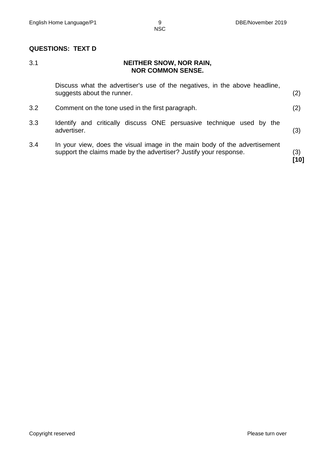#### **QUESTIONS: TEXT D**

#### 3.1 **NEITHER SNOW, NOR RAIN, NOR COMMON SENSE.**

|     | Discuss what the advertiser's use of the negatives, in the above headline,<br>suggests about the runner.                                       | (2) |
|-----|------------------------------------------------------------------------------------------------------------------------------------------------|-----|
| 3.2 | Comment on the tone used in the first paragraph.                                                                                               | (2) |
| 3.3 | Identify and critically discuss ONE persuasive technique used by the<br>advertiser.                                                            | (3) |
| 3.4 | In your view, does the visual image in the main body of the advertisement<br>support the claims made by the advertiser? Justify your response. | (3) |

**[10]**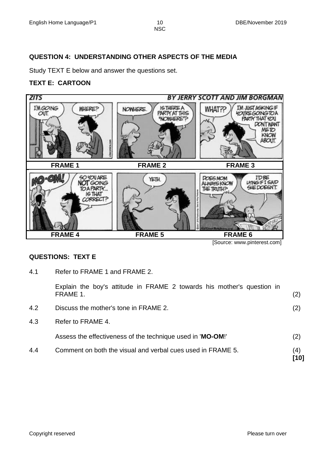#### **QUESTION 4: UNDERSTANDING OTHER ASPECTS OF THE MEDIA**

Study TEXT E below and answer the questions set.

#### **TEXT E: CARTOON**



#### **QUESTIONS: TEXT E**

4.1 Refer to FRAME 1 and FRAME 2.

|     | Explain the boy's attitude in FRAME 2 towards his mother's question in<br>FRAME 1. | (2) |  |  |  |  |
|-----|------------------------------------------------------------------------------------|-----|--|--|--|--|
| 4.2 | Discuss the mother's tone in FRAME 2.                                              |     |  |  |  |  |
| 4.3 | Refer to FRAME 4.                                                                  |     |  |  |  |  |
|     | Assess the effectiveness of the technique used in 'MO-OM!'                         | (2) |  |  |  |  |
| 4.4 | Comment on both the visual and verbal cues used in FRAME 5.                        |     |  |  |  |  |

**[10]**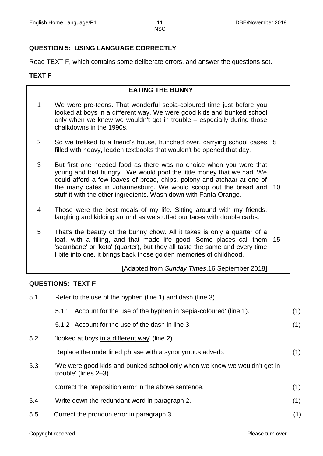#### **QUESTION 5: USING LANGUAGE CORRECTLY**

Read TEXT F, which contains some deliberate errors, and answer the questions set.

#### **TEXT F**

#### **EATING THE BUNNY**

- 1 We were pre-teens. That wonderful sepia-coloured time just before you looked at boys in a different way. We were good kids and bunked school only when we knew we wouldn't get in trouble – especially during those chalkdowns in the 1990s.
- 2 So we trekked to a friend's house, hunched over, carrying school cases 5 filled with heavy, leaden textbooks that wouldn't be opened that day.
- 3 But first one needed food as there was no choice when you were that young and that hungry. We would pool the little money that we had. We could afford a few loaves of bread, chips, polony and atchaar at one of the many cafés in Johannesburg. We would scoop out the bread and 10 stuff it with the other ingredients. Wash down with Fanta Orange.
- 4 Those were the best meals of my life. Sitting around with my friends, laughing and kidding around as we stuffed our faces with double carbs.
- 5 That's the beauty of the bunny chow. All it takes is only a quarter of a loaf, with a filling, and that made life good. Some places call them 15 'scambane' or 'kota' (quarter), but they all taste the same and every time I bite into one, it brings back those golden memories of childhood.

#### [Adapted from *Sunday Times*,16 September 2018]

#### **QUESTIONS: TEXT F**

| Refer to the use of the hyphen (line 1) and dash (line 3).                                         |     |  |  |  |  |
|----------------------------------------------------------------------------------------------------|-----|--|--|--|--|
| 5.1.1 Account for the use of the hyphen in 'sepia-coloured' (line 1).                              | (1) |  |  |  |  |
| 5.1.2 Account for the use of the dash in line 3.                                                   | (1) |  |  |  |  |
| 'looked at boys in a different way' (line 2).                                                      |     |  |  |  |  |
| Replace the underlined phrase with a synonymous adverb.                                            | (1) |  |  |  |  |
| 'We were good kids and bunked school only when we knew we wouldn't get in<br>trouble' (lines 2-3). |     |  |  |  |  |
| Correct the preposition error in the above sentence.                                               | (1) |  |  |  |  |
| Write down the redundant word in paragraph 2.                                                      | (1) |  |  |  |  |
| Correct the pronoun error in paragraph 3.                                                          | (1) |  |  |  |  |
|                                                                                                    |     |  |  |  |  |